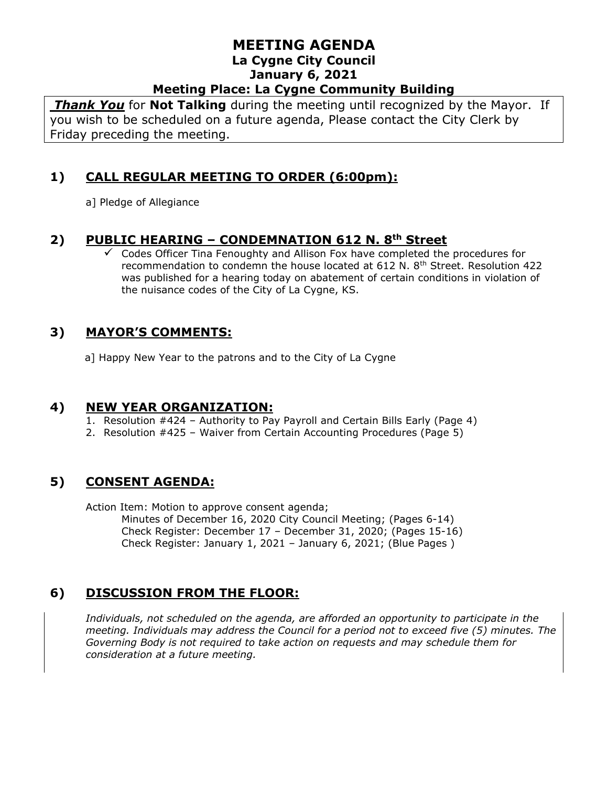#### **MEETING AGENDA La Cygne City Council January 6, 2021 Meeting Place: La Cygne Community Building**

*Thank You* for **Not Talking** during the meeting until recognized by the Mayor. If you wish to be scheduled on a future agenda, Please contact the City Clerk by Friday preceding the meeting.

## **1) CALL REGULAR MEETING TO ORDER (6:00pm):**

a] Pledge of Allegiance

### **2) PUBLIC HEARING – CONDEMNATION 612 N. 8th Street**

 $\checkmark$  Codes Officer Tina Fenoughty and Allison Fox have completed the procedures for recommendation to condemn the house located at 612 N. 8<sup>th</sup> Street. Resolution 422 was published for a hearing today on abatement of certain conditions in violation of the nuisance codes of the City of La Cygne, KS.

## **3) MAYOR'S COMMENTS:**

a] Happy New Year to the patrons and to the City of La Cygne

#### **4) NEW YEAR ORGANIZATION:**

- 1. Resolution #424 Authority to Pay Payroll and Certain Bills Early (Page 4)
- 2. Resolution #425 Waiver from Certain Accounting Procedures (Page 5)

## **5) CONSENT AGENDA:**

Action Item: Motion to approve consent agenda; Minutes of December 16, 2020 City Council Meeting; (Pages 6-14) Check Register: December 17 – December 31, 2020; (Pages 15-16) Check Register: January 1, 2021 – January 6, 2021; (Blue Pages )

# **6) DISCUSSION FROM THE FLOOR:**

*Individuals, not scheduled on the agenda, are afforded an opportunity to participate in the meeting. Individuals may address the Council for a period not to exceed five (5) minutes. The Governing Body is not required to take action on requests and may schedule them for consideration at a future meeting.*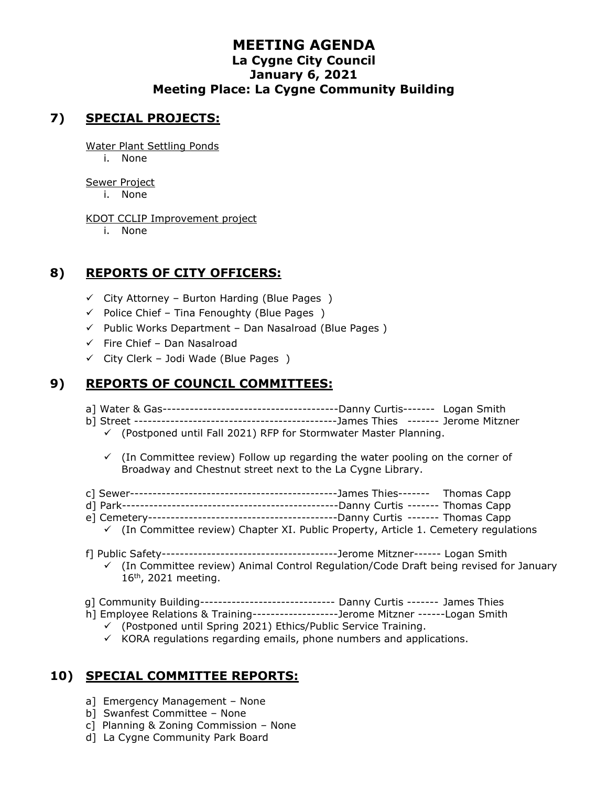#### **MEETING AGENDA La Cygne City Council January 6, 2021 Meeting Place: La Cygne Community Building**

## **7) SPECIAL PROJECTS:**

Water Plant Settling Ponds

i. None

Sewer Project

i. None

KDOT CCLIP Improvement project

i. None

# **8) REPORTS OF CITY OFFICERS:**

- $\checkmark$  City Attorney Burton Harding (Blue Pages)
- $\checkmark$  Police Chief Tina Fenoughty (Blue Pages)
- ✓ Public Works Department Dan Nasalroad (Blue Pages )
- $\checkmark$  Fire Chief Dan Nasalroad
- $\checkmark$  City Clerk Jodi Wade (Blue Pages)

# **9) REPORTS OF COUNCIL COMMITTEES:**

- a] Water & Gas---------------------------------------Danny Curtis------- Logan Smith
- b] Street ---------------------------------------------James Thies ------- Jerome Mitzner
	- $\checkmark$  (Postponed until Fall 2021) RFP for Stormwater Master Planning.
	- $\checkmark$  (In Committee review) Follow up regarding the water pooling on the corner of Broadway and Chestnut street next to the La Cygne Library.
- c] Sewer----------------------------------------------James Thies------- Thomas Capp
- d] Park------------------------------------------------Danny Curtis ------- Thomas Capp
- e] Cemetery------------------------------------------Danny Curtis ------- Thomas Capp
	- $\checkmark$  (In Committee review) Chapter XI. Public Property, Article 1. Cemetery regulations
- f] Public Safety---------------------------------------Jerome Mitzner------ Logan Smith
	- ✓ (In Committee review) Animal Control Regulation/Code Draft being revised for January 16<sup>th</sup>, 2021 meeting.
- g] Community Building------------------------------ Danny Curtis ------- James Thies
- h] Employee Relations & Training-------------------Jerome Mitzner ------Logan Smith
	- ✓ (Postponed until Spring 2021) Ethics/Public Service Training.
	- $\checkmark$  KORA regulations regarding emails, phone numbers and applications.

# **10) SPECIAL COMMITTEE REPORTS:**

- a] Emergency Management None
- b] Swanfest Committee None
- c] Planning & Zoning Commission None
- d] La Cygne Community Park Board